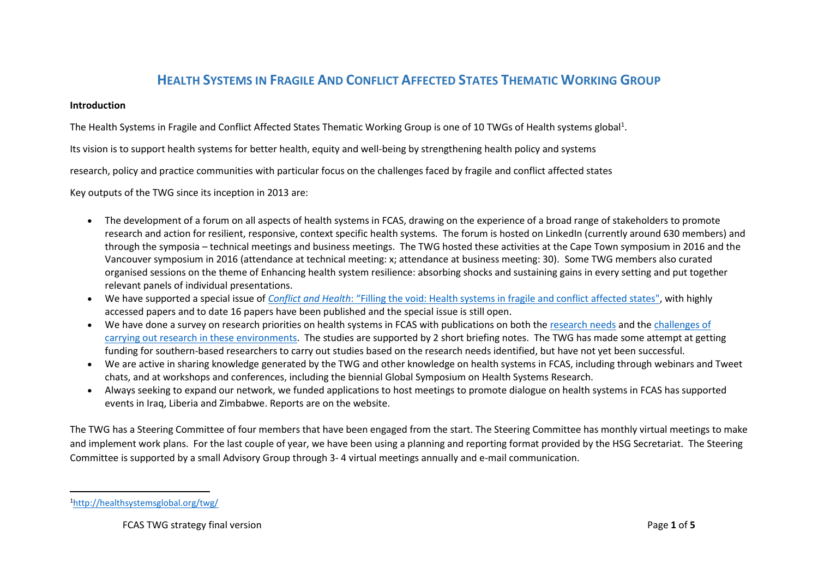## **HEALTH SYSTEMS IN FRAGILE AND CONFLICT AFFECTED STATES THEMATIC WORKING GROUP**

## **Introduction**

The Health Systems in Fragile and Conflict Affected States Thematic Working Group is one of 10 TWGs of Health systems global<sup>1</sup>.

Its vision is to support health systems for better health, equity and well-being by strengthening health policy and systems

research, policy and practice communities with particular focus on the challenges faced by fragile and conflict affected states

Key outputs of the TWG since its inception in 2013 are:

- The development of a forum on all aspects of health systems in FCAS, drawing on the experience of a broad range of stakeholders to promote research and action for resilient, responsive, context specific health systems. The forum is hosted on LinkedIn (currently around 630 members) and through the symposia – technical meetings and business meetings. The TWG hosted these activities at the Cape Town symposium in 2016 and the Vancouver symposium in 2016 (attendance at technical meeting: x; attendance at business meeting: 30). Some TWG members also curated organised sessions on the theme of Enhancing health system resilience: absorbing shocks and sustaining gains in every setting and put together relevant panels of individual presentations.
- We have supported a special issue of *Conflict and Health*[: "Filling the void: Health systems in fragile and conflict](http://www.conflictandhealth.com/series/Filling_the_void) affected states", with highly accessed papers and to date 16 papers have been published and the special issue is still open.
- We have done a survey on research priorities on health systems in FCAS with publications on both the [research needs](https://health-policy-systems.biomedcentral.com/articles/10.1186/s12961-016-0124-1) and the [challenges of](https://health-policy-systems.biomedcentral.com/articles/10.1186/s12961-017-0204-x)  [carrying out research in these environments.](https://health-policy-systems.biomedcentral.com/articles/10.1186/s12961-017-0204-x) The studies are supported by 2 short briefing notes. The TWG has made some attempt at getting funding for southern-based researchers to carry out studies based on the research needs identified, but have not yet been successful.
- We are active in sharing knowledge generated by the TWG and other knowledge on health systems in FCAS, including through webinars and Tweet chats, and at workshops and conferences, including the biennial Global Symposium on Health Systems Research.
- Always seeking to expand our network, we funded applications to host meetings to promote dialogue on health systems in FCAS has supported events in Iraq, Liberia and Zimbabwe. Reports are on the website.

The TWG has a Steering Committee of four members that have been engaged from the start. The Steering Committee has monthly virtual meetings to make and implement work plans. For the last couple of year, we have been using a planning and reporting format provided by the HSG Secretariat. The Steering Committee is supported by a small Advisory Group through 3- 4 virtual meetings annually and e-mail communication.

 $\overline{a}$ 

<sup>1</sup><http://healthsystemsglobal.org/twg/>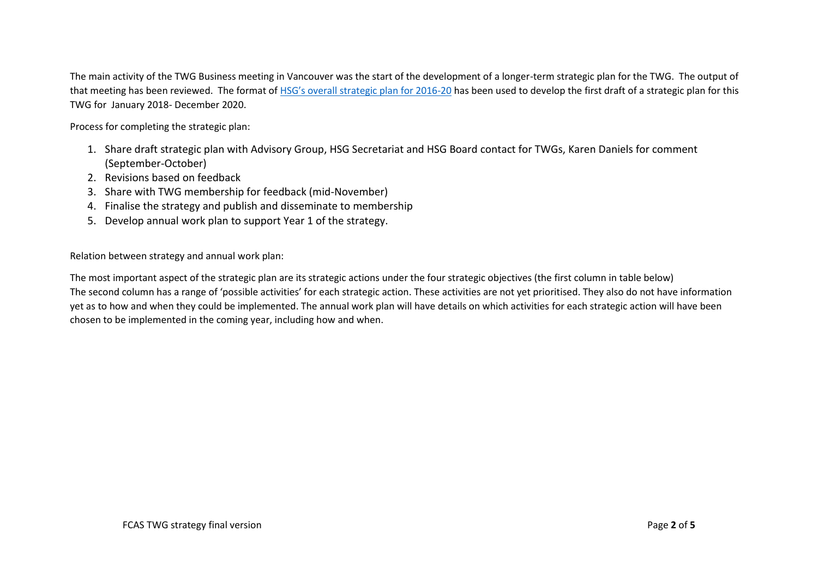The main activity of the TWG Business meeting in Vancouver was the start of the development of a longer-term strategic plan for the TWG. The output of that meeting has been reviewed. The format of HSG's [overall strategic plan for 2016-20](http://healthsystemsglobal.org/vision/strategic-plan/) has been used to develop the first draft of a strategic plan for this TWG for January 2018- December 2020.

Process for completing the strategic plan:

- 1. Share draft strategic plan with Advisory Group, HSG Secretariat and HSG Board contact for TWGs, Karen Daniels for comment (September-October)
- 2. Revisions based on feedback
- 3. Share with TWG membership for feedback (mid-November)
- 4. Finalise the strategy and publish and disseminate to membership
- 5. Develop annual work plan to support Year 1 of the strategy.

Relation between strategy and annual work plan:

The most important aspect of the strategic plan are its strategic actions under the four strategic objectives (the first column in table below) The second column has a range of 'possible activities' for each strategic action. These activities are not yet prioritised. They also do not have information yet as to how and when they could be implemented. The annual work plan will have details on which activities for each strategic action will have been chosen to be implemented in the coming year, including how and when.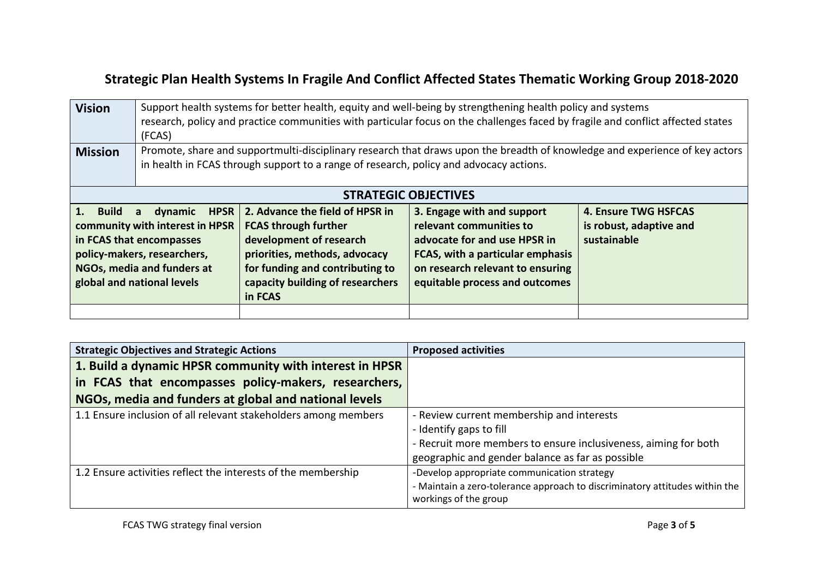## **Strategic Plan Health Systems In Fragile And Conflict Affected States Thematic Working Group 2018-2020**

| <b>Vision</b>                                                                                                                                                                                                | Support health systems for better health, equity and well-being by strengthening health policy and systems<br>research, policy and practice communities with particular focus on the challenges faced by fragile and conflict affected states<br>(FCAS) |                                                                                                                                                                                                              |                                                                                                                                                                                                 |                                                                       |  |
|--------------------------------------------------------------------------------------------------------------------------------------------------------------------------------------------------------------|---------------------------------------------------------------------------------------------------------------------------------------------------------------------------------------------------------------------------------------------------------|--------------------------------------------------------------------------------------------------------------------------------------------------------------------------------------------------------------|-------------------------------------------------------------------------------------------------------------------------------------------------------------------------------------------------|-----------------------------------------------------------------------|--|
| <b>Mission</b>                                                                                                                                                                                               | Promote, share and supportmulti-disciplinary research that draws upon the breadth of knowledge and experience of key actors<br>in health in FCAS through support to a range of research, policy and advocacy actions.                                   |                                                                                                                                                                                                              |                                                                                                                                                                                                 |                                                                       |  |
|                                                                                                                                                                                                              |                                                                                                                                                                                                                                                         |                                                                                                                                                                                                              |                                                                                                                                                                                                 |                                                                       |  |
| <b>STRATEGIC OBJECTIVES</b>                                                                                                                                                                                  |                                                                                                                                                                                                                                                         |                                                                                                                                                                                                              |                                                                                                                                                                                                 |                                                                       |  |
| 1. Build<br><b>HPSR</b><br>dynamic<br>$\mathbf{a}$<br>community with interest in HPSR<br>in FCAS that encompasses<br>policy-makers, researchers,<br>NGOs, media and funders at<br>global and national levels |                                                                                                                                                                                                                                                         | 2. Advance the field of HPSR in<br><b>FCAS through further</b><br>development of research<br>priorities, methods, advocacy<br>for funding and contributing to<br>capacity building of researchers<br>in FCAS | 3. Engage with and support<br>relevant communities to<br>advocate for and use HPSR in<br>FCAS, with a particular emphasis<br>on research relevant to ensuring<br>equitable process and outcomes | <b>4. Ensure TWG HSFCAS</b><br>is robust, adaptive and<br>sustainable |  |
|                                                                                                                                                                                                              |                                                                                                                                                                                                                                                         |                                                                                                                                                                                                              |                                                                                                                                                                                                 |                                                                       |  |

| <b>Strategic Objectives and Strategic Actions</b>               | <b>Proposed activities</b>                                                                                                                                                                  |  |
|-----------------------------------------------------------------|---------------------------------------------------------------------------------------------------------------------------------------------------------------------------------------------|--|
| 1. Build a dynamic HPSR community with interest in HPSR         |                                                                                                                                                                                             |  |
| in FCAS that encompasses policy-makers, researchers,            |                                                                                                                                                                                             |  |
| NGOs, media and funders at global and national levels           |                                                                                                                                                                                             |  |
| 1.1 Ensure inclusion of all relevant stakeholders among members | - Review current membership and interests<br>- Identify gaps to fill<br>- Recruit more members to ensure inclusiveness, aiming for both<br>geographic and gender balance as far as possible |  |
| 1.2 Ensure activities reflect the interests of the membership   | -Develop appropriate communication strategy<br>- Maintain a zero-tolerance approach to discriminatory attitudes within the<br>workings of the group                                         |  |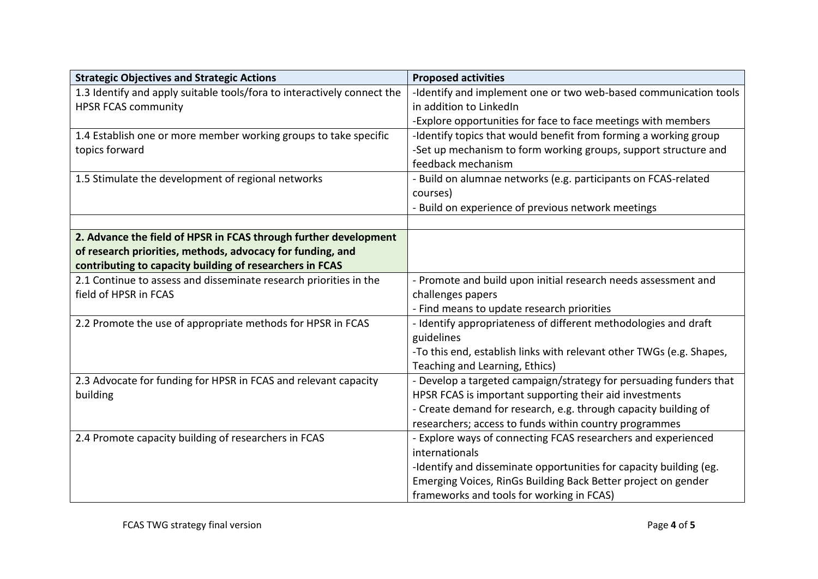| <b>Strategic Objectives and Strategic Actions</b>                       | <b>Proposed activities</b>                                           |
|-------------------------------------------------------------------------|----------------------------------------------------------------------|
| 1.3 Identify and apply suitable tools/fora to interactively connect the | -Identify and implement one or two web-based communication tools     |
| <b>HPSR FCAS community</b>                                              | in addition to LinkedIn                                              |
|                                                                         | -Explore opportunities for face to face meetings with members        |
| 1.4 Establish one or more member working groups to take specific        | -Identify topics that would benefit from forming a working group     |
| topics forward                                                          | -Set up mechanism to form working groups, support structure and      |
|                                                                         | feedback mechanism                                                   |
| 1.5 Stimulate the development of regional networks                      | - Build on alumnae networks (e.g. participants on FCAS-related       |
|                                                                         | courses)                                                             |
|                                                                         | - Build on experience of previous network meetings                   |
|                                                                         |                                                                      |
| 2. Advance the field of HPSR in FCAS through further development        |                                                                      |
| of research priorities, methods, advocacy for funding, and              |                                                                      |
| contributing to capacity building of researchers in FCAS                |                                                                      |
| 2.1 Continue to assess and disseminate research priorities in the       | - Promote and build upon initial research needs assessment and       |
| field of HPSR in FCAS                                                   | challenges papers                                                    |
|                                                                         | - Find means to update research priorities                           |
| 2.2 Promote the use of appropriate methods for HPSR in FCAS             | - Identify appropriateness of different methodologies and draft      |
|                                                                         | guidelines                                                           |
|                                                                         | -To this end, establish links with relevant other TWGs (e.g. Shapes, |
|                                                                         | Teaching and Learning, Ethics)                                       |
| 2.3 Advocate for funding for HPSR in FCAS and relevant capacity         | - Develop a targeted campaign/strategy for persuading funders that   |
| building                                                                | HPSR FCAS is important supporting their aid investments              |
|                                                                         | - Create demand for research, e.g. through capacity building of      |
|                                                                         | researchers; access to funds within country programmes               |
| 2.4 Promote capacity building of researchers in FCAS                    | - Explore ways of connecting FCAS researchers and experienced        |
|                                                                         | internationals                                                       |
|                                                                         | -Identify and disseminate opportunities for capacity building (eg.   |
|                                                                         | Emerging Voices, RinGs Building Back Better project on gender        |
|                                                                         | frameworks and tools for working in FCAS)                            |